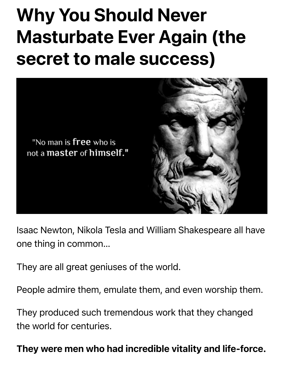# Why You Should Never Masturbate Ever Again (the secret to male success)



Isaac Newton, Nikola Tesla and William Shakespeare all have one thing in common…

They are all great geniuses of the world.

People admire them, emulate them, and even worship them.

They produced such tremendous work that they changed the world for centuries.

#### They were men who had incredible vitality and life-force.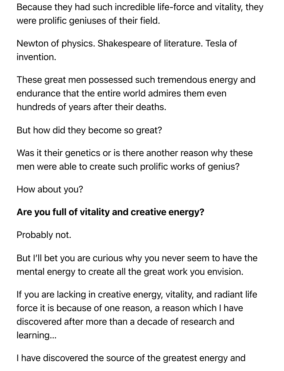Because they had such incredible life-force and vitality, they were prolific geniuses of their field.

Newton of physics. Shakespeare of literature. Tesla of invention.

These great men possessed such tremendous energy and endurance that the entire world admires them even hundreds of years after their deaths.

But how did they become so great?

Was it their genetics or is there another reason why these men were able to create such prolific works of genius?

How about you?

#### Are you full of vitality and creative energy?

Probably not.

But I'll bet you are curious why you never seem to have the mental energy to create all the great work you envision.

If you are lacking in creative energy, vitality, and radiant life force it is because of one reason, a reason which I have discovered after more than a decade of research and learning…

I have discovered the source of the greatest energy and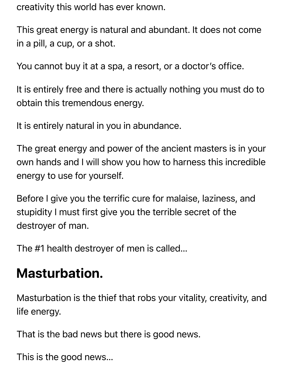creativity this world has ever known.

This great energy is natural and abundant. It does not come in a pill, a cup, or a shot.

You cannot buy it at a spa, a resort, or a doctor's office.

It is entirely free and there is actually nothing you must do to obtain this tremendous energy.

It is entirely natural in you in abundance.

The great energy and power of the ancient masters is in your own hands and I will show you how to harness this incredible energy to use for yourself.

Before I give you the terrific cure for malaise, laziness, and stupidity I must first give you the terrible secret of the destroyer of man.

The #1 health destroyer of men is called…

## Masturbation.

Masturbation is the thief that robs your vitality, creativity, and life energy.

That is the bad news but there is good news.

This is the good news…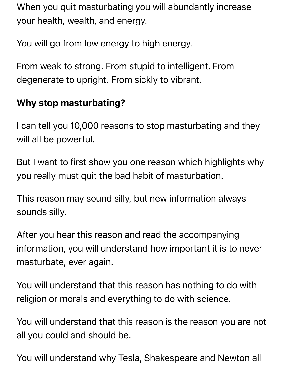When you quit masturbating you will abundantly increase your health, wealth, and energy.

You will go from low energy to high energy.

From weak to strong. From stupid to intelligent. From degenerate to upright. From sickly to vibrant.

### Why stop masturbating?

I can tell you 10,000 reasons to stop masturbating and they will all be powerful.

But I want to first show you one reason which highlights why you really must quit the bad habit of masturbation.

This reason may sound silly, but new information always sounds silly.

After you hear this reason and read the accompanying information, you will understand how important it is to never masturbate, ever again.

You will understand that this reason has nothing to do with religion or morals and everything to do with science.

You will understand that this reason is the reason you are not all you could and should be.

You will understand why Tesla, Shakespeare and Newton all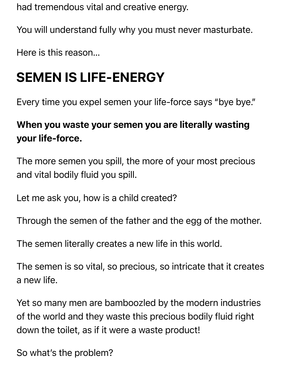had tremendous vital and creative energy.

You will understand fully why you must never masturbate.

Here is this reason…

# SEMEN IS LIFE-ENERGY

Every time you expel semen your life-force says "bye bye."

### When you waste your semen you are literally wasting your life-force.

The more semen you spill, the more of your most precious and vital bodily fluid you spill.

Let me ask you, how is a child created?

Through the semen of the father and the egg of the mother.

The semen literally creates a new life in this world.

The semen is so vital, so precious, so intricate that it creates a new life.

Yet so many men are bamboozled by the modern industries of the world and they waste this precious bodily fluid right down the toilet, as if it were a waste product!

So what's the problem?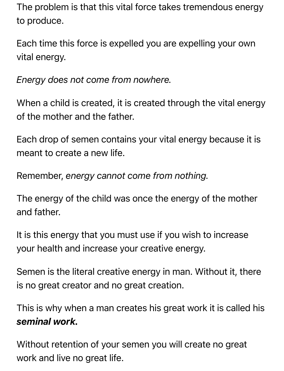The problem is that this vital force takes tremendous energy to produce.

Each time this force is expelled you are expelling your own vital energy.

*Energy does not come from nowhere.*

When a child is created, it is created through the vital energy of the mother and the father.

Each drop of semen contains your vital energy because it is meant to create a new life.

Remember, *energy cannot come from nothing.*

The energy of the child was once the energy of the mother and father.

It is this energy that you must use if you wish to increase your health and increase your creative energy.

Semen is the literal creative energy in man. Without it, there is no great creator and no great creation.

This is why when a man creates his great work it is called his *seminal work.*

Without retention of your semen you will create no great work and live no great life.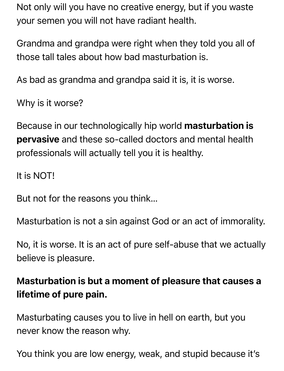Not only will you have no creative energy, but if you waste your semen you will not have radiant health.

Grandma and grandpa were right when they told you all of those tall tales about how bad masturbation is.

As bad as grandma and grandpa said it is, it is worse.

Why is it worse?

Because in our technologically hip world masturbation is pervasive and these so-called doctors and mental health professionals will actually tell you it is healthy.

It is NOT!

But not for the reasons you think…

Masturbation is not a sin against God or an act of immorality.

No, it is worse. It is an act of pure self-abuse that we actually believe is pleasure.

### Masturbation is but a moment of pleasure that causes a lifetime of pure pain.

Masturbating causes you to live in hell on earth, but you never know the reason why.

You think you are low energy, weak, and stupid because it's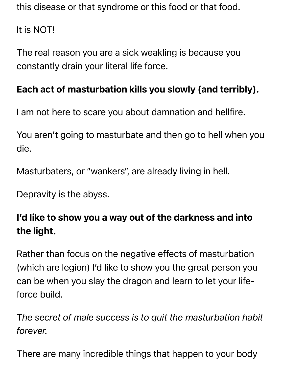this disease or that syndrome or this food or that food.

It is NOT!

The real reason you are a sick weakling is because you constantly drain your literal life force.

### Each act of masturbation kills you slowly (and terribly).

I am not here to scare you about damnation and hellfire.

You aren't going to masturbate and then go to hell when you die.

Masturbaters, or "wankers", are already living in hell.

Depravity is the abyss.

### I'd like to show you a way out of the darkness and into the light.

Rather than focus on the negative effects of masturbation (which are legion) I'd like to show you the great person you can be when you slay the dragon and learn to let your lifeforce build.

T*he secret of male success is to quit the masturbation habit forever.*

There are many incredible things that happen to your body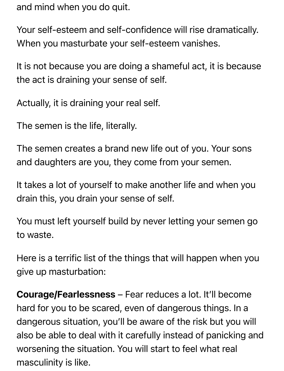and mind when you do quit.

Your self-esteem and self-confidence will rise dramatically. When you masturbate your self-esteem vanishes.

It is not because you are doing a shameful act, it is because the act is draining your sense of self.

Actually, it is draining your real self.

The semen is the life, literally.

The semen creates a brand new life out of you. Your sons and daughters are you, they come from your semen.

It takes a lot of yourself to make another life and when you drain this, you drain your sense of self.

You must left yourself build by never letting your semen go to waste.

Here is a terrific list of the things that will happen when you give up masturbation:

Courage/Fearlessness – Fear reduces a lot. It'll become hard for you to be scared, even of dangerous things. In a dangerous situation, you'll be aware of the risk but you will also be able to deal with it carefully instead of panicking and worsening the situation. You will start to feel what real masculinity is like.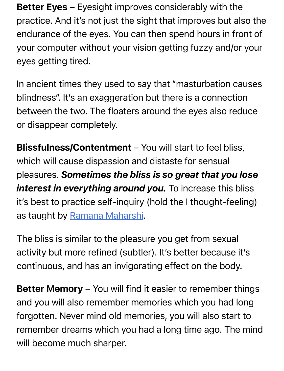Better Eyes – Eyesight improves considerably with the practice. And it's not just the sight that improves but also the endurance of the eyes. You can then spend hours in front of your computer without your vision getting fuzzy and/or your eyes getting tired.

In ancient times they used to say that "masturbation causes blindness". It's an exaggeration but there is a connection between the two. The floaters around the eyes also reduce or disappear completely.

Blissfulness/Contentment – You will start to feel bliss, which will cause dispassion and distaste for sensual pleasures. *Sometimes the bliss is so great that you lose interest in everything around you.* To increase this bliss it's best to p[ractice self-inquiry](https://www.sriramanamaharshi.org/) (hold the I thought-feeling) as taught by Ramana Maharshi.

The bliss is similar to the pleasure you get from sexual activity but more refined (subtler). It's better because it's continuous, and has an invigorating effect on the body.

Better Memory – You will find it easier to remember things and you will also remember memories which you had long forgotten. Never mind old memories, you will also start to remember dreams which you had a long time ago. The mind will become much sharper.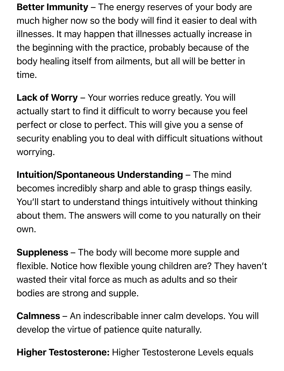Better Immunity – The energy reserves of your body are much higher now so the body will find it easier to deal with illnesses. It may happen that illnesses actually increase in the beginning with the practice, probably because of the body healing itself from ailments, but all will be better in time.

Lack of Worry – Your worries reduce greatly. You will actually start to find it difficult to worry because you feel perfect or close to perfect. This will give you a sense of security enabling you to deal with difficult situations without worrying.

Intuition/Spontaneous Understanding – The mind becomes incredibly sharp and able to grasp things easily. You'll start to understand things intuitively without thinking about them. The answers will come to you naturally on their own.

Suppleness – The body will become more supple and flexible. Notice how flexible young children are? They haven't wasted their vital force as much as adults and so their bodies are strong and supple.

Calmness – An indescribable inner calm develops. You will develop the virtue of patience quite naturally.

Higher Testosterone: Higher Testosterone Levels equals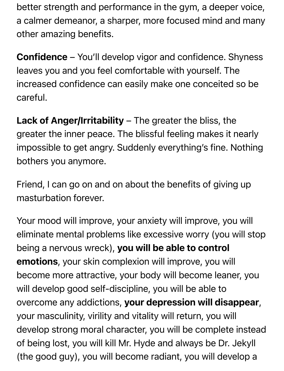better strength and performance in the gym, a deeper voice, a calmer demeanor, a sharper, more focused mind and many other amazing benefits.

Confidence – You'll develop vigor and confidence. Shyness leaves you and you feel comfortable with yourself. The increased confidence can easily make one conceited so be careful.

Lack of Anger/Irritability – The greater the bliss, the greater the inner peace. The blissful feeling makes it nearly impossible to get angry. Suddenly everything's fine. Nothing bothers you anymore.

Friend, I can go on and on about the benefits of giving up masturbation forever.

Your mood will improve, your anxiety will improve, you will eliminate mental problems like excessive worry (you will stop being a nervous wreck), you will be able to control emotions, your skin complexion will improve, you will become more attractive, your body will become leaner, you will develop good self-discipline, you will be able to overcome any addictions, your depression will disappear, your masculinity, virility and vitality will return, you will develop strong moral character, you will be complete instead of being lost, you will kill Mr. Hyde and always be Dr. Jekyll (the good guy), you will become radiant, you will develop a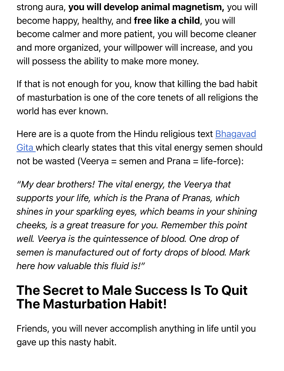strong aura, you will develop animal magnetism, you will become happy, healthy, and free like a child, you will become calmer and more patient, you will become cleaner and more organized, your willpower will increase, and you will possess the ability to make more money.

If that is not enough for you, know that killing the bad habit of masturbation is one of the core tenets of all religions the world has ever known.

Here are is a quote from the Hindu religious text **Bhagavad** Gita which clearly states that this vital energy semen should not be wasted (Veerya = semen and Prana = life-force):

*"My dear brothers! The vital energy, the Veerya that supports your life, which is the Prana of Pranas, which shines in your sparkling eyes, which beams in your shining cheeks, is a great treasure for you. Remember this point well. Veerya is the quintessence of blood. One drop of semen is manufactured out of forty drops of blood. Mark here how valuable this fluid is!"*

### The Secret to Male Success Is To Quit The Masturbation Habit!

Friends, you will never accomplish anything in life until you gave up this nasty habit.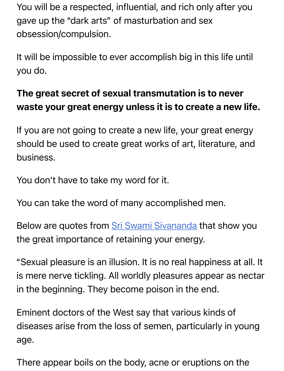You will be a respected, influential, and rich only after you gave up the "dark arts" of masturbation and sex obsession/compulsion.

It will be impossible to ever accomplish big in this life until you do.

### The great secret of sexual transmutation is to never waste your great energy unless it is to create a new life.

If you are not going to create a new life, your great energy should be used to create great works of art, literature, and business.

You don't have to take my word for it.

You can take the word [of many accomplishe](https://www.dlshq.org/saints/his-holiness-sri-swami-sivananda-saraswati-maharaj/)d men.

Below are quotes from **Sri Swami Sivananda** that show you the great importance of retaining your energy.

"Sexual pleasure is an illusion. It is no real happiness at all. It is mere nerve tickling. All worldly pleasures appear as nectar in the beginning. They become poison in the end.

Eminent doctors of the West say that various kinds of diseases arise from the loss of semen, particularly in young age.

There appear boils on the body, acne or eruptions on the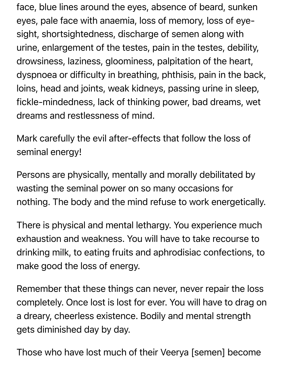face, blue lines around the eyes, absence of beard, sunken eyes, pale face with anaemia, loss of memory, loss of eyesight, shortsightedness, discharge of semen along with urine, enlargement of the testes, pain in the testes, debility, drowsiness, laziness, gloominess, palpitation of the heart, dyspnoea or difficulty in breathing, phthisis, pain in the back, loins, head and joints, weak kidneys, passing urine in sleep, fickle-mindedness, lack of thinking power, bad dreams, wet dreams and restlessness of mind.

Mark carefully the evil after-effects that follow the loss of seminal energy!

Persons are physically, mentally and morally debilitated by wasting the seminal power on so many occasions for nothing. The body and the mind refuse to work energetically.

There is physical and mental lethargy. You experience much exhaustion and weakness. You will have to take recourse to drinking milk, to eating fruits and aphrodisiac confections, to make good the loss of energy.

Remember that these things can never, never repair the loss completely. Once lost is lost for ever. You will have to drag on a dreary, cheerless existence. Bodily and mental strength gets diminished day by day.

Those who have lost much of their Veerya [semen] become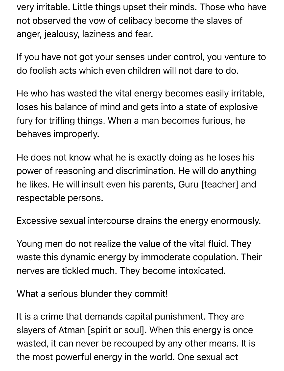very irritable. Little things upset their minds. Those who have not observed the vow of celibacy become the slaves of anger, jealousy, laziness and fear.

If you have not got your senses under control, you venture to do foolish acts which even children will not dare to do.

He who has wasted the vital energy becomes easily irritable, loses his balance of mind and gets into a state of explosive fury for trifling things. When a man becomes furious, he behaves improperly.

He does not know what he is exactly doing as he loses his power of reasoning and discrimination. He will do anything he likes. He will insult even his parents, Guru [teacher] and respectable persons.

Excessive sexual intercourse drains the energy enormously.

Young men do not realize the value of the vital fluid. They waste this dynamic energy by immoderate copulation. Their nerves are tickled much. They become intoxicated.

What a serious blunder they commit!

It is a crime that demands capital punishment. They are slayers of Atman [spirit or soul]. When this energy is once wasted, it can never be recouped by any other means. It is the most powerful energy in the world. One sexual act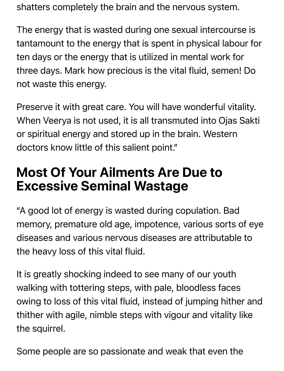shatters completely the brain and the nervous system.

The energy that is wasted during one sexual intercourse is tantamount to the energy that is spent in physical labour for ten days or the energy that is utilized in mental work for three days. Mark how precious is the vital fluid, semen! Do not waste this energy.

Preserve it with great care. You will have wonderful vitality. When Veerya is not used, it is all transmuted into Ojas Sakti or spiritual energy and stored up in the brain. Western doctors know little of this salient point."

### Most Of Your Ailments Are Due to Excessive Seminal Wastage

"A good lot of energy is wasted during copulation. Bad memory, premature old age, impotence, various sorts of eye diseases and various nervous diseases are attributable to the heavy loss of this vital fluid.

It is greatly shocking indeed to see many of our youth walking with tottering steps, with pale, bloodless faces owing to loss of this vital fluid, instead of jumping hither and thither with agile, nimble steps with vigour and vitality like the squirrel.

Some people are so passionate and weak that even the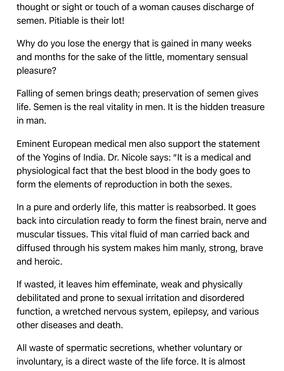thought or sight or touch of a woman causes discharge of semen. Pitiable is their lot!

Why do you lose the energy that is gained in many weeks and months for the sake of the little, momentary sensual pleasure?

Falling of semen brings death; preservation of semen gives life. Semen is the real vitality in men. It is the hidden treasure in man.

Eminent European medical men also support the statement of the Yogins of India. Dr. Nicole says: "It is a medical and physiological fact that the best blood in the body goes to form the elements of reproduction in both the sexes.

In a pure and orderly life, this matter is reabsorbed. It goes back into circulation ready to form the finest brain, nerve and muscular tissues. This vital fluid of man carried back and diffused through his system makes him manly, strong, brave and heroic.

If wasted, it leaves him effeminate, weak and physically debilitated and prone to sexual irritation and disordered function, a wretched nervous system, epilepsy, and various other diseases and death.

All waste of spermatic secretions, whether voluntary or involuntary, is a direct waste of the life force. It is almost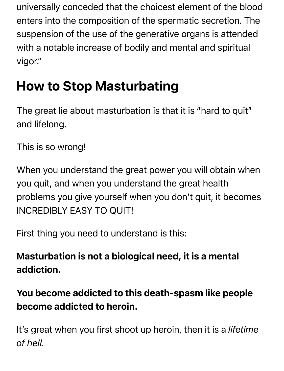universally conceded that the choicest element of the blood enters into the composition of the spermatic secretion. The suspension of the use of the generative organs is attended with a notable increase of bodily and mental and spiritual vigor."

# How to Stop Masturbating

The great lie about masturbation is that it is "hard to quit" and lifelong.

This is so wrong!

When you understand the great power you will obtain when you quit, and when you understand the great health problems you give yourself when you don't quit, it becomes INCREDIBLY EASY TO QUIT!

First thing you need to understand is this:

### Masturbation is not a biological need, it is a mental addiction.

You become addicted to this death-spasm like people become addicted to heroin.

It's great when you first shoot up heroin, then it is a *lifetime of hell.*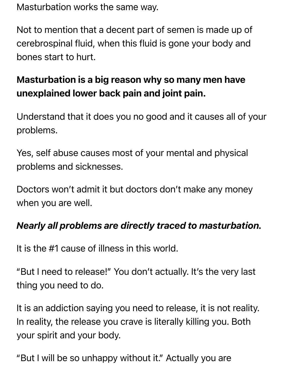Masturbation works the same way.

Not to mention that a decent part of semen is made up of cerebrospinal fluid, when this fluid is gone your body and bones start to hurt.

### Masturbation is a big reason why so many men have unexplained lower back pain and joint pain.

Understand that it does you no good and it causes all of your problems.

Yes, self abuse causes most of your mental and physical problems and sicknesses.

Doctors won't admit it but doctors don't make any money when you are well.

### *Nearly all problems are directly traced to masturbation.*

It is the #1 cause of illness in this world.

"But I need to release!" You don't actually. It's the very last thing you need to do.

It is an addiction saying you need to release, it is not reality. In reality, the release you crave is literally killing you. Both your spirit and your body.

"But I will be so unhappy without it." Actually you are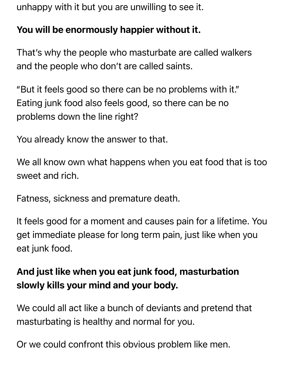unhappy with it but you are unwilling to see it.

### You will be enormously happier without it.

That's why the people who masturbate are called walkers and the people who don't are called saints.

"But it feels good so there can be no problems with it." Eating junk food also feels good, so there can be no problems down the line right?

You already know the answer to that.

We all know own what happens when you eat food that is too sweet and rich.

Fatness, sickness and premature death.

It feels good for a moment and causes pain for a lifetime. You get immediate please for long term pain, just like when you eat junk food.

### And just like when you eat junk food, masturbation slowly kills your mind and your body.

We could all act like a bunch of deviants and pretend that masturbating is healthy and normal for you.

Or we could confront this obvious problem like men.